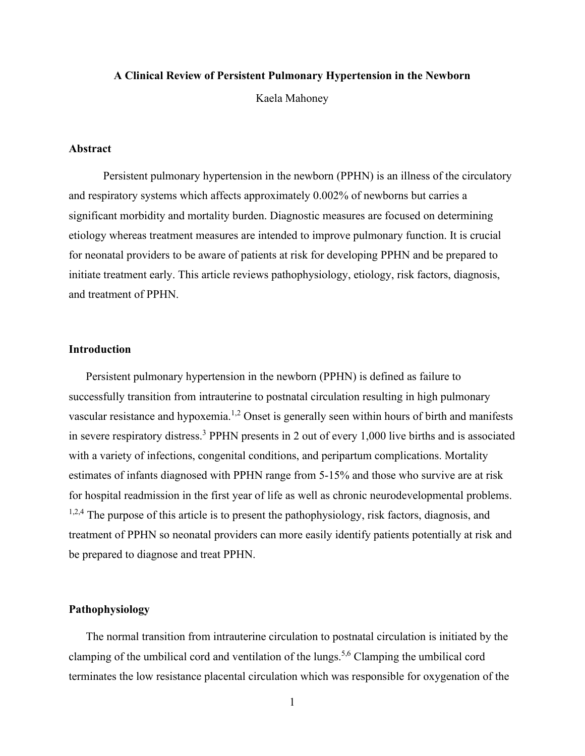### **A Clinical Review of Persistent Pulmonary Hypertension in the Newborn**

Kaela Mahoney

### **Abstract**

Persistent pulmonary hypertension in the newborn (PPHN) is an illness of the circulatory and respiratory systems which affects approximately 0.002% of newborns but carries a significant morbidity and mortality burden. Diagnostic measures are focused on determining etiology whereas treatment measures are intended to improve pulmonary function. It is crucial for neonatal providers to be aware of patients at risk for developing PPHN and be prepared to initiate treatment early. This article reviews pathophysiology, etiology, risk factors, diagnosis, and treatment of PPHN.

# **Introduction**

Persistent pulmonary hypertension in the newborn (PPHN) is defined as failure to successfully transition from intrauterine to postnatal circulation resulting in high pulmonary vascular resistance and hypoxemia.<sup>1,2</sup> Onset is generally seen within hours of birth and manifests in severe respiratory distress.<sup>3</sup> PPHN presents in 2 out of every 1,000 live births and is associated with a variety of infections, congenital conditions, and peripartum complications. Mortality estimates of infants diagnosed with PPHN range from 5-15% and those who survive are at risk for hospital readmission in the first year of life as well as chronic neurodevelopmental problems.  $1,2,4$  The purpose of this article is to present the pathophysiology, risk factors, diagnosis, and treatment of PPHN so neonatal providers can more easily identify patients potentially at risk and be prepared to diagnose and treat PPHN.

## **Pathophysiology**

The normal transition from intrauterine circulation to postnatal circulation is initiated by the clamping of the umbilical cord and ventilation of the lungs.5,6 Clamping the umbilical cord terminates the low resistance placental circulation which was responsible for oxygenation of the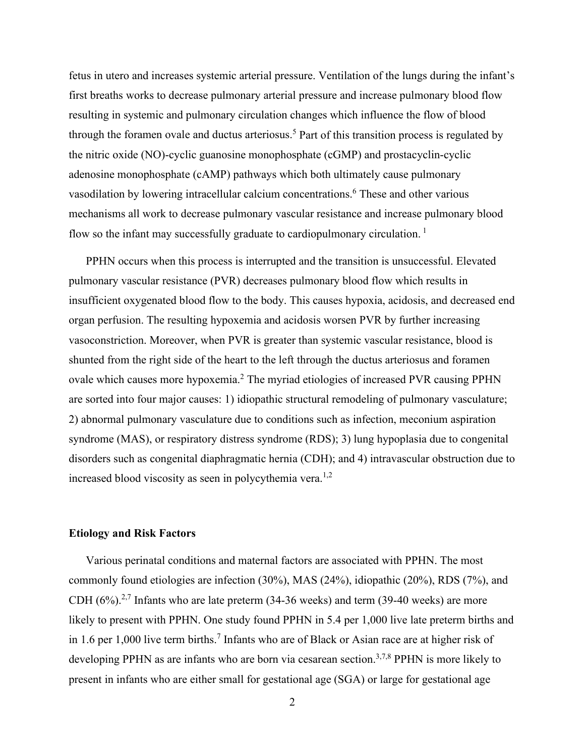fetus in utero and increases systemic arterial pressure. Ventilation of the lungs during the infant's first breaths works to decrease pulmonary arterial pressure and increase pulmonary blood flow resulting in systemic and pulmonary circulation changes which influence the flow of blood through the foramen ovale and ductus arteriosus.<sup>5</sup> Part of this transition process is regulated by the nitric oxide (NO)-cyclic guanosine monophosphate (cGMP) and prostacyclin-cyclic adenosine monophosphate (cAMP) pathways which both ultimately cause pulmonary vasodilation by lowering intracellular calcium concentrations.<sup>6</sup> These and other various mechanisms all work to decrease pulmonary vascular resistance and increase pulmonary blood flow so the infant may successfully graduate to cardiopulmonary circulation.<sup>1</sup>

PPHN occurs when this process is interrupted and the transition is unsuccessful. Elevated pulmonary vascular resistance (PVR) decreases pulmonary blood flow which results in insufficient oxygenated blood flow to the body. This causes hypoxia, acidosis, and decreased end organ perfusion. The resulting hypoxemia and acidosis worsen PVR by further increasing vasoconstriction. Moreover, when PVR is greater than systemic vascular resistance, blood is shunted from the right side of the heart to the left through the ductus arteriosus and foramen ovale which causes more hypoxemia.<sup>2</sup> The myriad etiologies of increased PVR causing PPHN are sorted into four major causes: 1) idiopathic structural remodeling of pulmonary vasculature; 2) abnormal pulmonary vasculature due to conditions such as infection, meconium aspiration syndrome (MAS), or respiratory distress syndrome (RDS); 3) lung hypoplasia due to congenital disorders such as congenital diaphragmatic hernia (CDH); and 4) intravascular obstruction due to increased blood viscosity as seen in polycythemia vera.<sup>1,2</sup>

#### **Etiology and Risk Factors**

Various perinatal conditions and maternal factors are associated with PPHN. The most commonly found etiologies are infection (30%), MAS (24%), idiopathic (20%), RDS (7%), and CDH  $(6\%)$ <sup>2,7</sup> Infants who are late preterm  $(34-36$  weeks) and term  $(39-40$  weeks) are more likely to present with PPHN. One study found PPHN in 5.4 per 1,000 live late preterm births and in 1.6 per 1,000 live term births.<sup>7</sup> Infants who are of Black or Asian race are at higher risk of developing PPHN as are infants who are born via cesarean section.<sup>3,7,8</sup> PPHN is more likely to present in infants who are either small for gestational age (SGA) or large for gestational age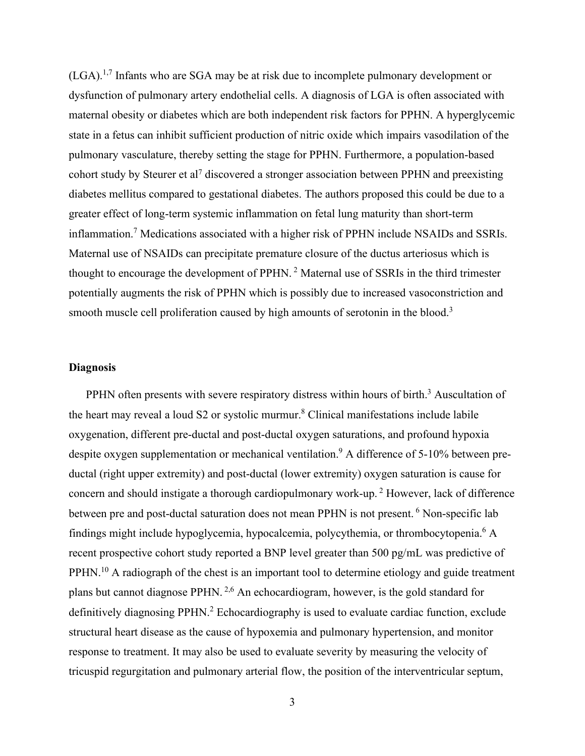(LGA).1,7 Infants who are SGA may be at risk due to incomplete pulmonary development or dysfunction of pulmonary artery endothelial cells. A diagnosis of LGA is often associated with maternal obesity or diabetes which are both independent risk factors for PPHN. A hyperglycemic state in a fetus can inhibit sufficient production of nitric oxide which impairs vasodilation of the pulmonary vasculature, thereby setting the stage for PPHN. Furthermore, a population-based cohort study by Steurer et al<sup>7</sup> discovered a stronger association between PPHN and preexisting diabetes mellitus compared to gestational diabetes. The authors proposed this could be due to a greater effect of long-term systemic inflammation on fetal lung maturity than short-term inflammation.<sup>7</sup> Medications associated with a higher risk of PPHN include NSAIDs and SSRIs. Maternal use of NSAIDs can precipitate premature closure of the ductus arteriosus which is thought to encourage the development of PPHN. <sup>2</sup> Maternal use of SSRIs in the third trimester potentially augments the risk of PPHN which is possibly due to increased vasoconstriction and smooth muscle cell proliferation caused by high amounts of serotonin in the blood.<sup>3</sup>

# **Diagnosis**

PPHN often presents with severe respiratory distress within hours of birth.<sup>3</sup> Auscultation of the heart may reveal a loud S2 or systolic murmur.<sup>8</sup> Clinical manifestations include labile oxygenation, different pre-ductal and post-ductal oxygen saturations, and profound hypoxia despite oxygen supplementation or mechanical ventilation.<sup>9</sup> A difference of 5-10% between preductal (right upper extremity) and post-ductal (lower extremity) oxygen saturation is cause for concern and should instigate a thorough cardiopulmonary work-up. <sup>2</sup> However, lack of difference between pre and post-ductal saturation does not mean PPHN is not present. <sup>6</sup> Non-specific lab findings might include hypoglycemia, hypocalcemia, polycythemia, or thrombocytopenia.<sup>6</sup> A recent prospective cohort study reported a BNP level greater than 500 pg/mL was predictive of PPHN.<sup>10</sup> A radiograph of the chest is an important tool to determine etiology and guide treatment plans but cannot diagnose PPHN. 2,6 An echocardiogram, however, is the gold standard for definitively diagnosing PPHN.<sup>2</sup> Echocardiography is used to evaluate cardiac function, exclude structural heart disease as the cause of hypoxemia and pulmonary hypertension, and monitor response to treatment. It may also be used to evaluate severity by measuring the velocity of tricuspid regurgitation and pulmonary arterial flow, the position of the interventricular septum,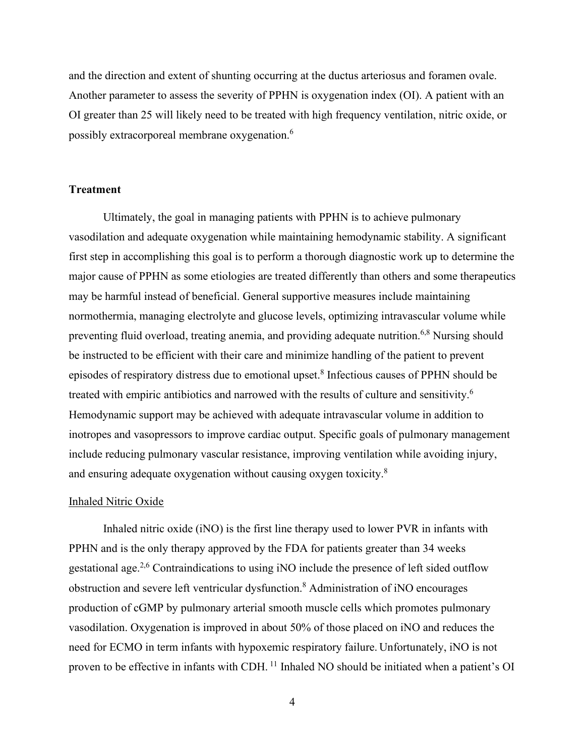and the direction and extent of shunting occurring at the ductus arteriosus and foramen ovale. Another parameter to assess the severity of PPHN is oxygenation index (OI). A patient with an OI greater than 25 will likely need to be treated with high frequency ventilation, nitric oxide, or possibly extracorporeal membrane oxygenation.6

### **Treatment**

Ultimately, the goal in managing patients with PPHN is to achieve pulmonary vasodilation and adequate oxygenation while maintaining hemodynamic stability. A significant first step in accomplishing this goal is to perform a thorough diagnostic work up to determine the major cause of PPHN as some etiologies are treated differently than others and some therapeutics may be harmful instead of beneficial. General supportive measures include maintaining normothermia, managing electrolyte and glucose levels, optimizing intravascular volume while preventing fluid overload, treating anemia, and providing adequate nutrition.<sup>6,8</sup> Nursing should be instructed to be efficient with their care and minimize handling of the patient to prevent episodes of respiratory distress due to emotional upset.<sup>8</sup> Infectious causes of PPHN should be treated with empiric antibiotics and narrowed with the results of culture and sensitivity.<sup>6</sup> Hemodynamic support may be achieved with adequate intravascular volume in addition to inotropes and vasopressors to improve cardiac output. Specific goals of pulmonary management include reducing pulmonary vascular resistance, improving ventilation while avoiding injury, and ensuring adequate oxygenation without causing oxygen toxicity. $8$ 

#### Inhaled Nitric Oxide

Inhaled nitric oxide (iNO) is the first line therapy used to lower PVR in infants with PPHN and is the only therapy approved by the FDA for patients greater than 34 weeks gestational age.2,6 Contraindications to using iNO include the presence of left sided outflow obstruction and severe left ventricular dysfunction.8 Administration of iNO encourages production of cGMP by pulmonary arterial smooth muscle cells which promotes pulmonary vasodilation. Oxygenation is improved in about 50% of those placed on iNO and reduces the need for ECMO in term infants with hypoxemic respiratory failure. Unfortunately, iNO is not proven to be effective in infants with CDH. 11 Inhaled NO should be initiated when a patient's OI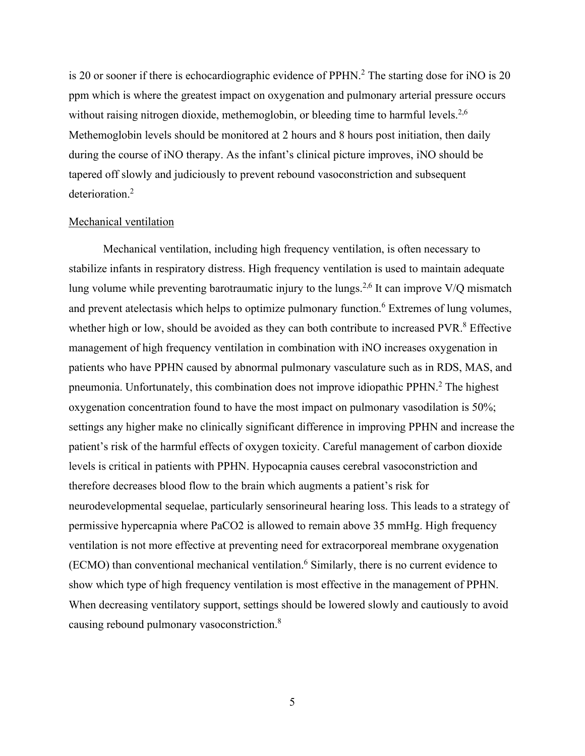is 20 or sooner if there is echocardiographic evidence of PPHN.<sup>2</sup> The starting dose for iNO is 20 ppm which is where the greatest impact on oxygenation and pulmonary arterial pressure occurs without raising nitrogen dioxide, methemoglobin, or bleeding time to harmful levels.<sup>2,6</sup> Methemoglobin levels should be monitored at 2 hours and 8 hours post initiation, then daily during the course of iNO therapy. As the infant's clinical picture improves, iNO should be tapered off slowly and judiciously to prevent rebound vasoconstriction and subsequent deterioration. 2

#### Mechanical ventilation

Mechanical ventilation, including high frequency ventilation, is often necessary to stabilize infants in respiratory distress. High frequency ventilation is used to maintain adequate lung volume while preventing barotraumatic injury to the lungs.<sup>2,6</sup> It can improve V/Q mismatch and prevent atelectasis which helps to optimize pulmonary function.<sup>6</sup> Extremes of lung volumes, whether high or low, should be avoided as they can both contribute to increased PVR.<sup>8</sup> Effective management of high frequency ventilation in combination with iNO increases oxygenation in patients who have PPHN caused by abnormal pulmonary vasculature such as in RDS, MAS, and pneumonia. Unfortunately, this combination does not improve idiopathic PPHN.<sup>2</sup> The highest oxygenation concentration found to have the most impact on pulmonary vasodilation is 50%; settings any higher make no clinically significant difference in improving PPHN and increase the patient's risk of the harmful effects of oxygen toxicity. Careful management of carbon dioxide levels is critical in patients with PPHN. Hypocapnia causes cerebral vasoconstriction and therefore decreases blood flow to the brain which augments a patient's risk for neurodevelopmental sequelae, particularly sensorineural hearing loss. This leads to a strategy of permissive hypercapnia where PaCO2 is allowed to remain above 35 mmHg. High frequency ventilation is not more effective at preventing need for extracorporeal membrane oxygenation  $(ECMO)$  than conventional mechanical ventilation.<sup>6</sup> Similarly, there is no current evidence to show which type of high frequency ventilation is most effective in the management of PPHN. When decreasing ventilatory support, settings should be lowered slowly and cautiously to avoid causing rebound pulmonary vasoconstriction.<sup>8</sup>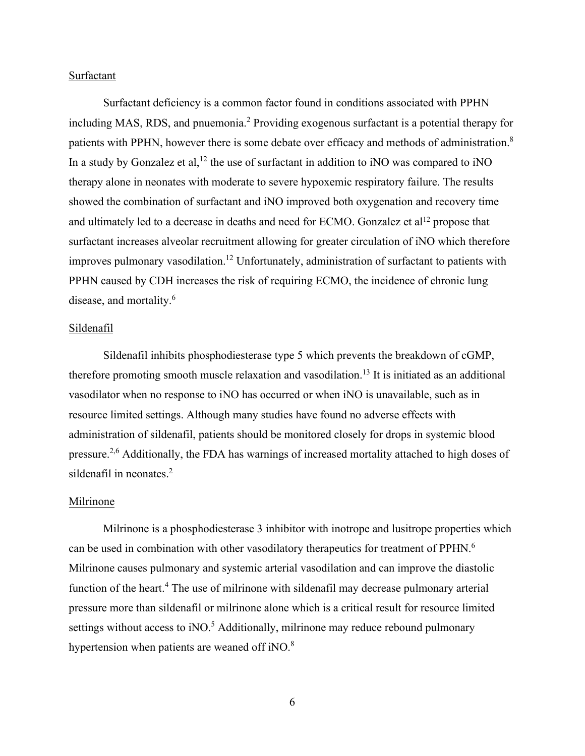## Surfactant

Surfactant deficiency is a common factor found in conditions associated with PPHN including MAS, RDS, and pnuemonia.<sup>2</sup> Providing exogenous surfactant is a potential therapy for patients with PPHN, however there is some debate over efficacy and methods of administration.<sup>8</sup> In a study by Gonzalez et al,<sup>12</sup> the use of surfactant in addition to iNO was compared to iNO therapy alone in neonates with moderate to severe hypoxemic respiratory failure. The results showed the combination of surfactant and iNO improved both oxygenation and recovery time and ultimately led to a decrease in deaths and need for ECMO. Gonzalez et al<sup>12</sup> propose that surfactant increases alveolar recruitment allowing for greater circulation of iNO which therefore improves pulmonary vasodilation.<sup>12</sup> Unfortunately, administration of surfactant to patients with PPHN caused by CDH increases the risk of requiring ECMO, the incidence of chronic lung disease, and mortality.<sup>6</sup>

## Sildenafil

Sildenafil inhibits phosphodiesterase type 5 which prevents the breakdown of cGMP, therefore promoting smooth muscle relaxation and vasodilation.<sup>13</sup> It is initiated as an additional vasodilator when no response to iNO has occurred or when iNO is unavailable, such as in resource limited settings. Although many studies have found no adverse effects with administration of sildenafil, patients should be monitored closely for drops in systemic blood pressure.2,6 Additionally, the FDA has warnings of increased mortality attached to high doses of sildenafil in neonates.<sup>2</sup>

#### Milrinone

Milrinone is a phosphodiesterase 3 inhibitor with inotrope and lusitrope properties which can be used in combination with other vasodilatory therapeutics for treatment of PPHN.<sup>6</sup> Milrinone causes pulmonary and systemic arterial vasodilation and can improve the diastolic function of the heart.<sup>4</sup> The use of milrinone with sildenafil may decrease pulmonary arterial pressure more than sildenafil or milrinone alone which is a critical result for resource limited settings without access to  $iNO$ <sup>5</sup> Additionally, milrinone may reduce rebound pulmonary hypertension when patients are weaned off iNO. $8$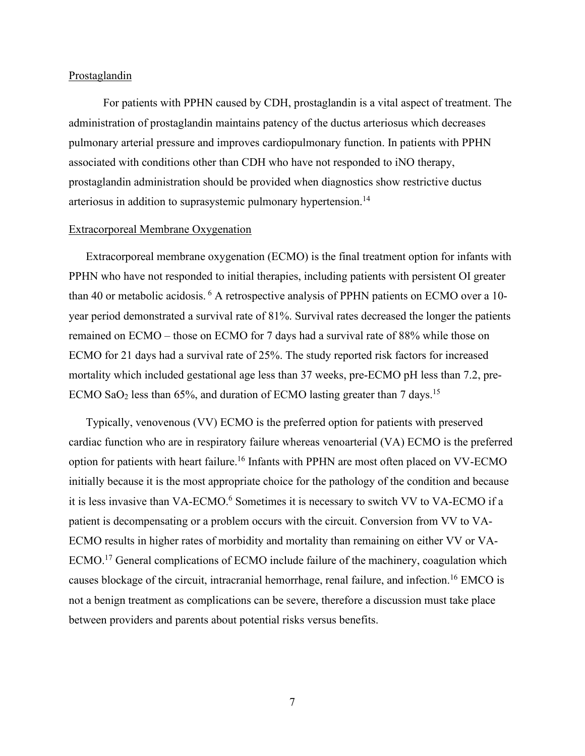### Prostaglandin

For patients with PPHN caused by CDH, prostaglandin is a vital aspect of treatment. The administration of prostaglandin maintains patency of the ductus arteriosus which decreases pulmonary arterial pressure and improves cardiopulmonary function. In patients with PPHN associated with conditions other than CDH who have not responded to iNO therapy, prostaglandin administration should be provided when diagnostics show restrictive ductus arteriosus in addition to suprasystemic pulmonary hypertension.<sup>14</sup>

#### Extracorporeal Membrane Oxygenation

Extracorporeal membrane oxygenation (ECMO) is the final treatment option for infants with PPHN who have not responded to initial therapies, including patients with persistent OI greater than 40 or metabolic acidosis.<sup>6</sup> A retrospective analysis of PPHN patients on ECMO over a 10year period demonstrated a survival rate of 81%. Survival rates decreased the longer the patients remained on ECMO – those on ECMO for 7 days had a survival rate of 88% while those on ECMO for 21 days had a survival rate of 25%. The study reported risk factors for increased mortality which included gestational age less than 37 weeks, pre-ECMO pH less than 7.2, pre-ECMO SaO<sub>2</sub> less than 65%, and duration of ECMO lasting greater than 7 days.<sup>15</sup>

Typically, venovenous (VV) ECMO is the preferred option for patients with preserved cardiac function who are in respiratory failure whereas venoarterial (VA) ECMO is the preferred option for patients with heart failure.<sup>16</sup> Infants with PPHN are most often placed on VV-ECMO initially because it is the most appropriate choice for the pathology of the condition and because it is less invasive than VA-ECMO.<sup>6</sup> Sometimes it is necessary to switch VV to VA-ECMO if a patient is decompensating or a problem occurs with the circuit. Conversion from VV to VA-ECMO results in higher rates of morbidity and mortality than remaining on either VV or VA-ECMO.<sup>17</sup> General complications of ECMO include failure of the machinery, coagulation which causes blockage of the circuit, intracranial hemorrhage, renal failure, and infection.<sup>16</sup> EMCO is not a benign treatment as complications can be severe, therefore a discussion must take place between providers and parents about potential risks versus benefits.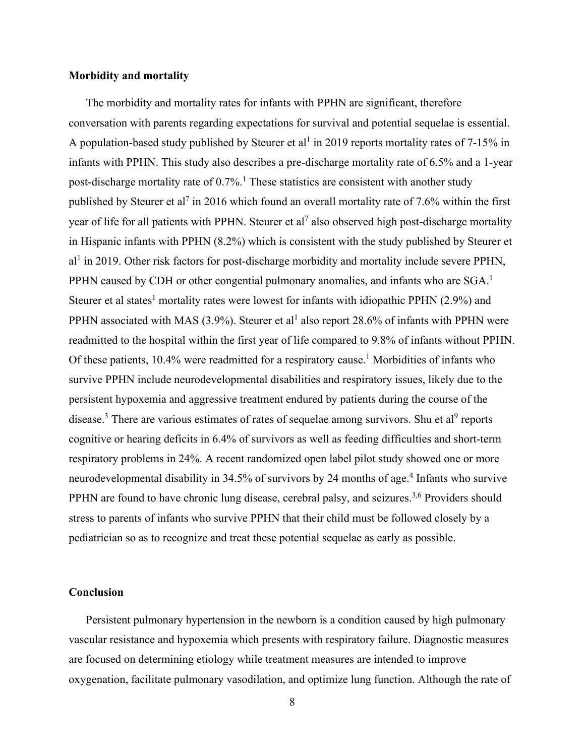### **Morbidity and mortality**

The morbidity and mortality rates for infants with PPHN are significant, therefore conversation with parents regarding expectations for survival and potential sequelae is essential. A population-based study published by Steurer et al<sup>1</sup> in 2019 reports mortality rates of 7-15% in infants with PPHN. This study also describes a pre-discharge mortality rate of 6.5% and a 1-year post-discharge mortality rate of  $0.7\%$ .<sup>1</sup> These statistics are consistent with another study published by Steurer et al<sup>7</sup> in 2016 which found an overall mortality rate of 7.6% within the first year of life for all patients with PPHN. Steurer et al<sup>7</sup> also observed high post-discharge mortality in Hispanic infants with PPHN (8.2%) which is consistent with the study published by Steurer et al<sup>1</sup> in 2019. Other risk factors for post-discharge morbidity and mortality include severe PPHN, PPHN caused by CDH or other congential pulmonary anomalies, and infants who are SGA.<sup>1</sup> Steurer et al states<sup>1</sup> mortality rates were lowest for infants with idiopathic PPHN  $(2.9\%)$  and PPHN associated with MAS (3.9%). Steurer et al<sup>1</sup> also report 28.6% of infants with PPHN were readmitted to the hospital within the first year of life compared to 9.8% of infants without PPHN. Of these patients,  $10.4\%$  were readmitted for a respiratory cause.<sup>1</sup> Morbidities of infants who survive PPHN include neurodevelopmental disabilities and respiratory issues, likely due to the persistent hypoxemia and aggressive treatment endured by patients during the course of the disease.<sup>3</sup> There are various estimates of rates of sequelae among survivors. Shu et al<sup>9</sup> reports cognitive or hearing deficits in 6.4% of survivors as well as feeding difficulties and short-term respiratory problems in 24%. A recent randomized open label pilot study showed one or more neurodevelopmental disability in 34.5% of survivors by 24 months of age.<sup>4</sup> Infants who survive PPHN are found to have chronic lung disease, cerebral palsy, and seizures.<sup>3,6</sup> Providers should stress to parents of infants who survive PPHN that their child must be followed closely by a pediatrician so as to recognize and treat these potential sequelae as early as possible.

## **Conclusion**

Persistent pulmonary hypertension in the newborn is a condition caused by high pulmonary vascular resistance and hypoxemia which presents with respiratory failure. Diagnostic measures are focused on determining etiology while treatment measures are intended to improve oxygenation, facilitate pulmonary vasodilation, and optimize lung function. Although the rate of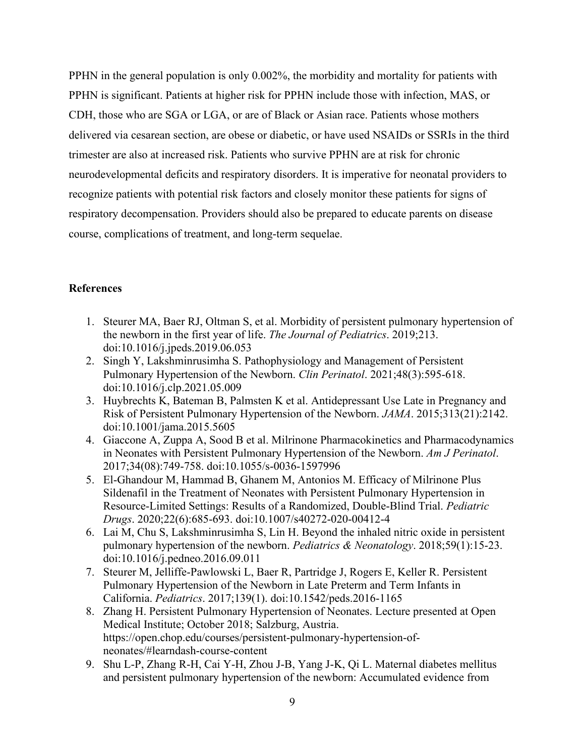PPHN in the general population is only 0.002%, the morbidity and mortality for patients with PPHN is significant. Patients at higher risk for PPHN include those with infection, MAS, or CDH, those who are SGA or LGA, or are of Black or Asian race. Patients whose mothers delivered via cesarean section, are obese or diabetic, or have used NSAIDs or SSRIs in the third trimester are also at increased risk. Patients who survive PPHN are at risk for chronic neurodevelopmental deficits and respiratory disorders. It is imperative for neonatal providers to recognize patients with potential risk factors and closely monitor these patients for signs of respiratory decompensation. Providers should also be prepared to educate parents on disease course, complications of treatment, and long-term sequelae.

# **References**

- 1. Steurer MA, Baer RJ, Oltman S, et al. Morbidity of persistent pulmonary hypertension of the newborn in the first year of life. *The Journal of Pediatrics*. 2019;213. doi:10.1016/j.jpeds.2019.06.053
- 2. Singh Y, Lakshminrusimha S. Pathophysiology and Management of Persistent Pulmonary Hypertension of the Newborn. *Clin Perinatol*. 2021;48(3):595-618. doi:10.1016/j.clp.2021.05.009
- 3. Huybrechts K, Bateman B, Palmsten K et al. Antidepressant Use Late in Pregnancy and Risk of Persistent Pulmonary Hypertension of the Newborn. *JAMA*. 2015;313(21):2142. doi:10.1001/jama.2015.5605
- 4. Giaccone A, Zuppa A, Sood B et al. Milrinone Pharmacokinetics and Pharmacodynamics in Neonates with Persistent Pulmonary Hypertension of the Newborn. *Am J Perinatol*. 2017;34(08):749-758. doi:10.1055/s-0036-1597996
- 5. El-Ghandour M, Hammad B, Ghanem M, Antonios M. Efficacy of Milrinone Plus Sildenafil in the Treatment of Neonates with Persistent Pulmonary Hypertension in Resource-Limited Settings: Results of a Randomized, Double-Blind Trial. *Pediatric Drugs*. 2020;22(6):685-693. doi:10.1007/s40272-020-00412-4
- 6. Lai M, Chu S, Lakshminrusimha S, Lin H. Beyond the inhaled nitric oxide in persistent pulmonary hypertension of the newborn. *Pediatrics & Neonatology*. 2018;59(1):15-23. doi:10.1016/j.pedneo.2016.09.011
- 7. Steurer M, Jelliffe-Pawlowski L, Baer R, Partridge J, Rogers E, Keller R. Persistent Pulmonary Hypertension of the Newborn in Late Preterm and Term Infants in California. *Pediatrics*. 2017;139(1). doi:10.1542/peds.2016-1165
- 8. Zhang H. Persistent Pulmonary Hypertension of Neonates. Lecture presented at Open Medical Institute; October 2018; Salzburg, Austria. https://open.chop.edu/courses/persistent-pulmonary-hypertension-ofneonates/#learndash-course-content
- 9. Shu L-P, Zhang R-H, Cai Y-H, Zhou J-B, Yang J-K, Qi L. Maternal diabetes mellitus and persistent pulmonary hypertension of the newborn: Accumulated evidence from